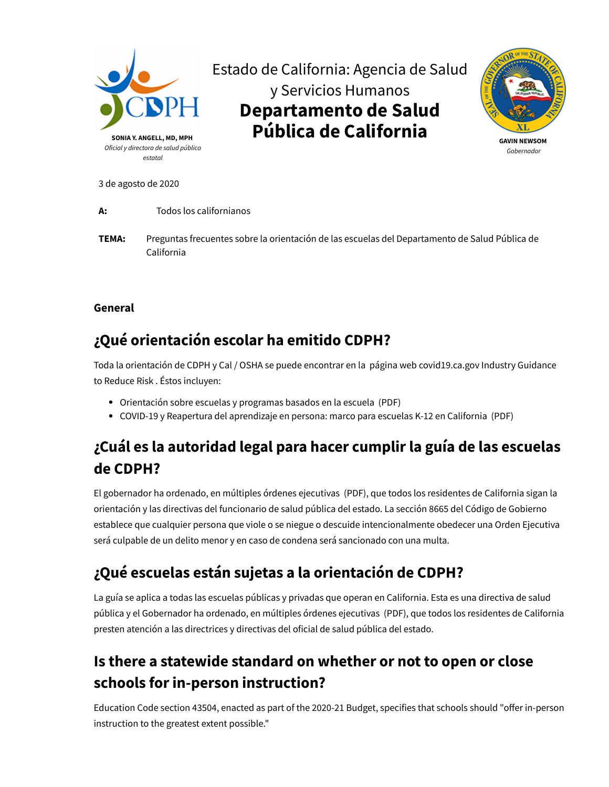

3 de agosto de 2020

**A:** Todos los californianos

**TEMA:** Preguntas frecuentes sobre la orientación de las escuelas del Departamento de Salud Pública de California

#### **General**

#### **¿Qué orientación escolar ha emitido CDPH?**

[Toda la orientación de CDPH y Cal / OSHA se puede encontrar en la](https://covid19.ca.gov/industry-guidance/) página web covid19.ca.gov Industry Guidance to Reduce Risk . Éstos incluyen:

- [Orientación sobre escuelas y programas basados en la escuela](https://files.covid19.ca.gov/pdf/guidance-schools.pdf) (PDF)
- [COVID-19 y Reapertura del aprendizaje en persona: marco para escuelas K-12 en California](https://www.cdph.ca.gov/Programs/CID/DCDC/CDPH%20Document%20Library/COVID-19/Schools%20Reopening%20Recommendations.pdf)  (PDF)

## **¿Cuál es la autoridad legal para hacer cumplir la guía de las escuelas de CDPH?**

El gobernador ha ordenado, en múltiples [órdenes ejecutivas](https://www.gov.ca.gov/wp-content/uploads/2020/03/3.19.20-attested-EO-N-33-20-COVID-19-HEALTH-ORDER.pdf) (PDF), que todos los residentes de California sigan la orientación y las directivas del funcionario de salud pública del estado. La sección [8665 del](http://leginfo.legislature.ca.gov/faces/codes_displaySection.xhtml?lawCode=GOV§ionNum=8665) Código de Gobierno establece que cualquier persona que viole o se niegue o descuide intencionalmente obedecer una Orden Ejecutiva será culpable de un delito menor y en caso de condena será sancionado con una multa.

# **¿Qué escuelas están sujetas a la orientación de CDPH?**

La guía se aplica a todas las escuelas públicas y privadas que operan en California. Esta es una directiva de salud pública y el Gobernador ha ordenado, en múltiples [órdenes ejecutivas](https://www.gov.ca.gov/wp-content/uploads/2020/03/3.19.20-attested-EO-N-33-20-COVID-19-HEALTH-ORDER.pdf) (PDF), que todos los residentes de California presten atención a las directrices y directivas del oficial de salud pública del estado.

## **Is there a statewide standard on whether or not to open or close schools for in-person instruction?**

Education Code section 43504, enacted as part of the 2020-21 Budget, specifies that schools should "offer in-person instruction to the greatest extent possible."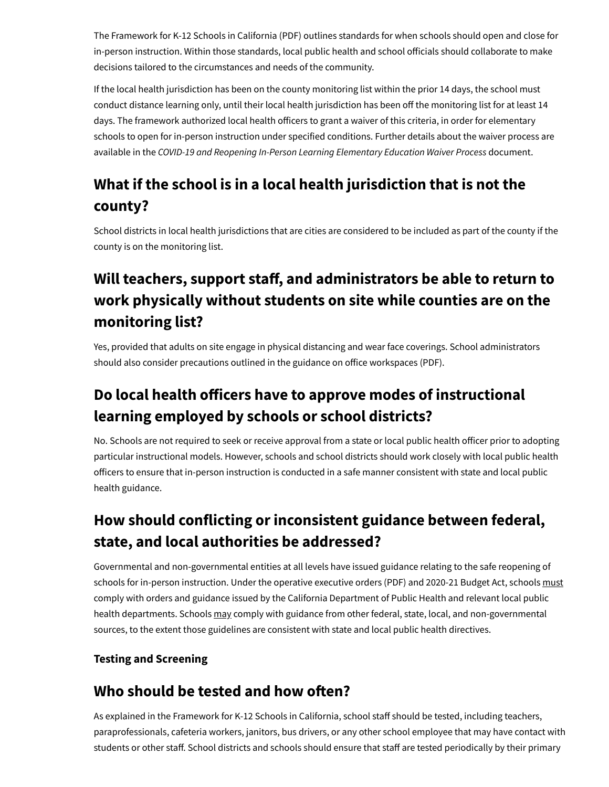The [Framework for K-12 Schools in California](https://www.cdph.ca.gov/Programs/CID/DCDC/CDPH%20Document%20Library/COVID-19/Schools%20Reopening%20Recommendations.pdf) (PDF) outlines standards for when schools should open and close for in-person instruction. Within those standards, local public health and school officials should collaborate to make decisions tailored to the circumstances and needs of the community.

If the local health jurisdiction has been on the county monitoring list within the prior 14 days, the school must conduct distance learning only, until their local health jurisdiction has been off the monitoring list for at least 14 days. The framework authorized local health officers to grant a waiver of this criteria, in order for elementary schools to open for in-person instruction under specified conditions. Further details about the waiver process are available in the *COVID-19 and Reopening In-Person Learning Elementary Education Waiver Process* document.

# **What if the school is in a local health jurisdiction that is not the county?**

School districts in local health jurisdictions that are cities are considered to be included as part of the county if the county is on the monitoring list.

# **Will teachers, support staff, and administrators be able to return to work physically without students on site while counties are on the monitoring list?**

Yes, provided that adults on site engage in physical distancing and wear face coverings. School administrators should also consider precautions outlined in the guidance on office workspaces (PDF).

## **Do** local health officers have to approve modes of instructional **learning employed by schools or school districts?**

No. Schools are not required to seek or receive approval from a state or local public health officer prior to adopting particular instructional models. However, schools and school districts should work closely with local public health officers to ensure that in-person instruction is conducted in a safe manner consistent with state and local public health guidance.

## **How should conflicting or inconsistent guidance between federal, state, and local authorities be addressed?**

Governmental and non-governmental entities at all levels have issued guidance relating to the safe reopening of schools for in-person instruction. Under the operative [executive orders](https://www.gov.ca.gov/wp-content/uploads/2020/03/3.19.20-attested-EO-N-33-20-COVID-19-HEALTH-ORDER.pdf) (PDF) and 2020-21 Budget Act, schools must comply with orders and guidance issued by the California Department of Public Health and relevant local public health departments. Schools may comply with guidance from other federal, state, local, and non-governmental sources, to the extent those guidelines are consistent with state and local public health directives.

#### **Testing and Screening**

#### **Who** should be tested and how often?

As explained in the [Framework for K-12 Schools in California](https://www.cdph.ca.gov/Programs/CID/DCDC/CDPH%20Document%20Library/COVID-19/Schools%20Reopening%20Recommendations.pdf), school staff should be tested, including teachers, paraprofessionals, cafeteria workers, janitors, bus drivers, or any other school employee that may have contact with students or other staff. School districts and schools should ensure that staff are tested periodically by their primary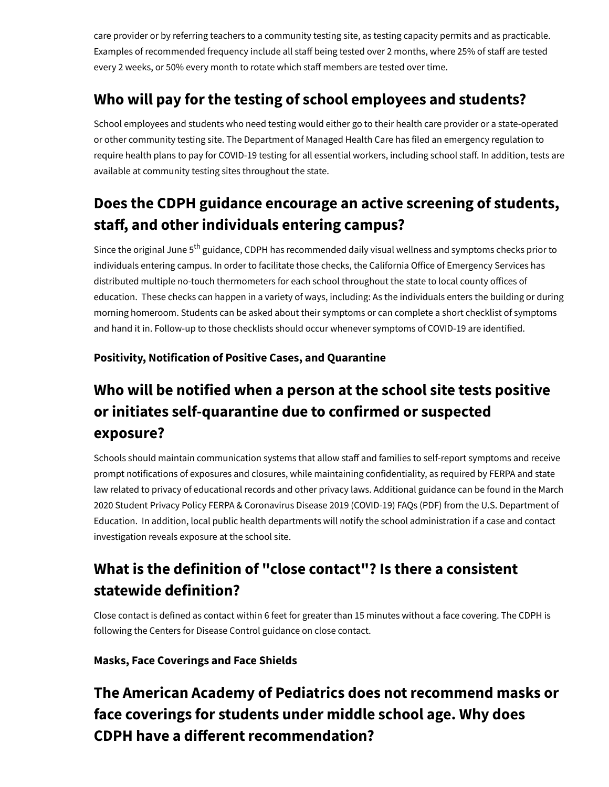care provider or by referring teachers to a community testing site, as testing capacity permits and as practicable. Examples of recommended frequency include all staff being tested over 2 months, where 25% of staff are tested every 2 weeks, or 50% every month to rotate which staff members are tested over time.

#### **Who will pay for the testing of school employees and students?**

School employees and students who need testing would either go to their health care provider or a state-operated or other community testing site. The Department of Managed Health Care has filed an [emergency regulation](https://www.cdph.ca.gov/Programs/CID/DCDC/Pages/COVID-19/Updated-COVID-19-Testing-Guidance.aspx) to require health plans to pay for COVID-19 testing for all essential workers, including school staff. In addition, tests are available at [community testing sites](https://covid19.ca.gov/testing-and-treatment/) throughout the state.

## **Does the CDPH guidance encourage an active screening of students, staff, and other individuals entering campus?**

Since the original June 5<sup>th</sup> guidance, CDPH has recommended daily visual wellness and symptoms checks prior to individuals entering campus. In order to facilitate those checks, the California Office of Emergency Services has distributed multiple no-touch thermometers for each school throughout the state to local county offices of education. These checks can happen in a variety of ways, including: As the individuals enters the building or during morning homeroom. Students can be asked about their symptoms or can complete a short checklist of symptoms and hand it in. Follow-up to those checklists should occur whenever symptoms of COVID-19 are identified.

#### **Positivity, Notification of Positive Cases, and Quarantine**

## **Who will be notified when a person at the school site tests positive or initiates self-quarantine due to confirmed or suspected exposure?**

Schools should maintain communication systems that allow staff and families to self-report symptoms and receive prompt notifications of exposures and closures, while maintaining confidentiality, as required by FERPA and state [law related to privacy of educational records and other privacy laws. Additional guidance can be found in the](https://studentprivacy.ed.gov/sites/default/files/resource_document/file/FERPA%20and%20Coronavirus%20Frequently%20Asked%20Questions.pdf) March 2020 Student Privacy Policy FERPA & Coronavirus Disease 2019 (COVID-19) FAQs (PDF) from the U.S. Department of Education. In addition, local public health departments will notify the school administration if a case and contact investigation reveals exposure at the school site.

# **What is the definition of "close contact"? Is there a consistent statewide definition?**

Close contact is defined as contact within 6 feet for greater than 15 minutes without a face covering. The CDPH is following the [Centers for Disease Control guidance on close contact](https://www.cdc.gov/coronavirus/2019-ncov/php/public-health-recommendations.html).

#### **Masks, Face Coverings and Face Shields**

## **The American Academy of Pediatrics does not recommend masks or face coverings for students under middle school age. Why does CDPH** have a different recommendation?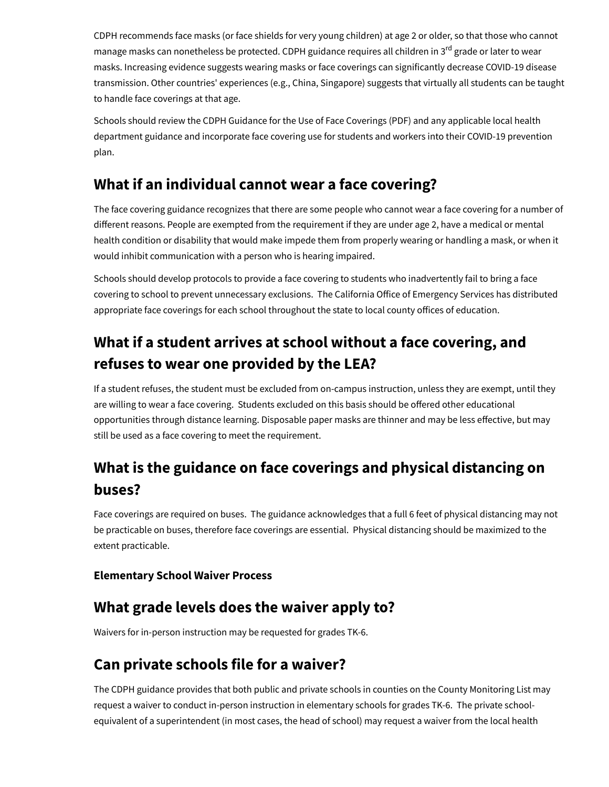CDPH recommends face masks (or face shields for very young children) at age 2 or older, so that those who cannot manage masks can nonetheless be protected. CDPH guidance requires all children in 3<sup>rd</sup> grade or later to wear masks. Increasing evidence suggests wearing masks or face coverings can significantly decrease COVID-19 disease transmission. Other countries' experiences (e.g., China, Singapore) suggests that virtually all students can be taught to handle face coverings at that age.

Schools should review the [CDPH Guidance for the Use of Face Coverings](https://www.cdph.ca.gov/Programs/CID/DCDC/CDPH%20Document%20Library/COVID-19/Guidance-for-Face-Coverings_06-18-2020.pdf) (PDF) and any applicable local health department guidance and incorporate face covering use for students and workers into their COVID-19 prevention plan.

#### **What if an individual cannot wear a face covering?**

The face covering guidance recognizes that there are some people who cannot wear a face covering for a number of different reasons. People are exempted from the requirement if they are under age 2, have a medical or mental health condition or disability that would make impede them from properly wearing or handling a mask, or when it would inhibit communication with a person who is hearing impaired.

Schools should develop protocols to provide a face covering to students who inadvertently fail to bring a face covering to school to prevent unnecessary exclusions. The California Office of Emergency Services has distributed appropriate face coverings for each school throughout the state to local county offices of education.

## **What if a student arrives at school without a face covering, and refuses to wear one provided by the LEA?**

If a student refuses, the student must be excluded from on-campus instruction, unless they are exempt, until they are willing to wear a face covering. Students excluded on this basis should be offered other educational opportunities through distance learning. Disposable paper masks are thinner and may be less effective, but may still be used as a face covering to meet the requirement.

## **What is the guidance on face coverings and physical distancing on buses?**

Face coverings are required on buses. The guidance acknowledges that a full 6 feet of physical distancing may not be practicable on buses, therefore face coverings are essential. Physical distancing should be maximized to the extent practicable.

#### **Elementary School Waiver Process**

#### **What grade levels does the waiver apply to?**

Waivers for in-person instruction may be requested for grades TK-6.

#### **Can private schools file for a waiver?**

The CDPH guidance provides that both public and private schools in counties on the County Monitoring List may request a waiver to conduct in-person instruction in elementary schools for grades TK-6. The private schoolequivalent of a superintendent (in most cases, the head of school) may request a waiver from the local health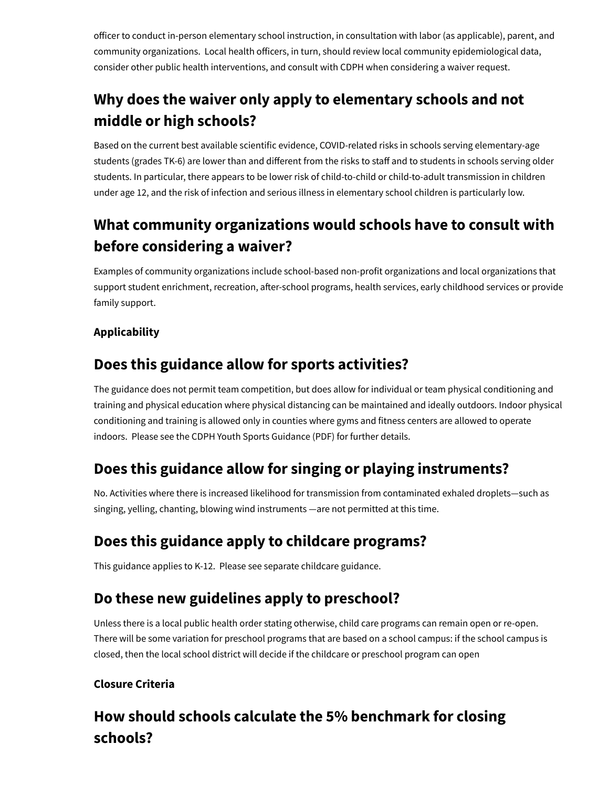officer to conduct in-person elementary school instruction, in consultation with labor (as applicable), parent, and community organizations. Local health officers, in turn, should review local community epidemiological data, consider other public health interventions, and consult with CDPH when considering a waiver request.

# **Why does the waiver only apply to elementary schools and not middle or high schools?**

Based on the current best available scientific evidence, COVID-related risks in schools serving elementary-age students (grades TK-6) are lower than and different from the risks to staff and to students in schools serving older students. In particular, there appears to be lower risk of child-to-child or child-to-adult transmission in children under age 12, and the risk of infection and serious illness in elementary school children is particularly low.

## **What community organizations would schools have to consult with before considering a waiver?**

Examples of community organizations include school-based non-profit organizations and local organizations that support student enrichment, recreation, after-school programs, health services, early childhood services or provide family support.

#### **Applicability**

#### **Does this guidance allow for sports activities?**

The guidance does not permit team competition, but does allow for individual or team physical conditioning and training and physical education where physical distancing can be maintained and ideally outdoors. Indoor physical conditioning and training is allowed only in counties where gyms and fitness centers are allowed to operate indoors. Please see the CDPH [Youth Sports Guidance \(PDF\)](https://files.covid19.ca.gov/pdf/guidance-youth-sports--en.pdf) for further details.

#### **Does this guidance allow for singing or playing instruments?**

No. Activities where there is increased likelihood for transmission from contaminated exhaled droplets—such as singing, yelling, chanting, blowing wind instruments —are not permitted at this time.

#### **Does this guidance apply to childcare programs?**

This guidance applies to K-12. Please see separate [childcare guidance](https://cdss.ca.gov/Portals/9/CCLD/PINs/2020/CCP/PIN%2020-15-CCP.pdf).

#### **Do these new guidelines apply to preschool?**

Unless there is a local public health order stating otherwise, child care programs can remain open or re-open. There will be some variation for preschool programs that are based on a school campus: if the school campus is closed, then the local school district will decide if the childcare or preschool program can open

#### **Closure Criteria**

## **How should schools calculate the 5% benchmark for closing schools?**